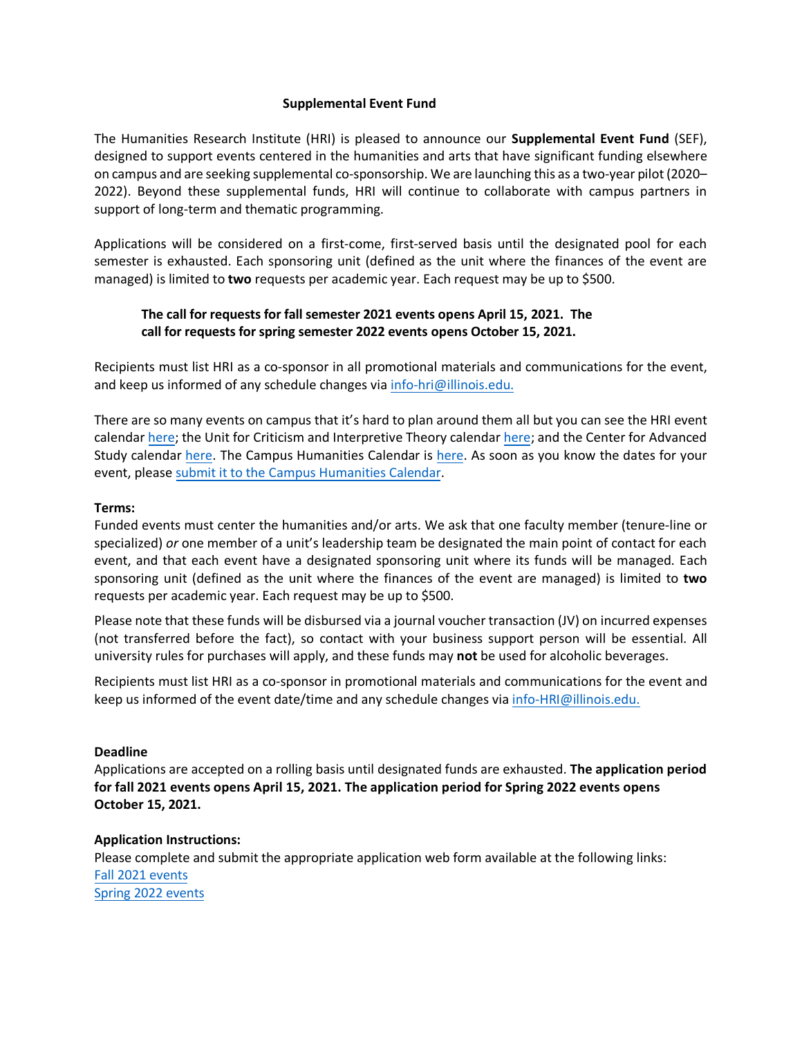## **Supplemental Event Fund**

The Humanities Research Institute (HRI) is pleased to announce our **Supplemental Event Fund** (SEF), designed to support events centered in the humanities and arts that have significant funding elsewhere on campus and are seeking supplemental co-sponsorship. We are launching this as a two-year pilot (2020– 2022). Beyond these supplemental funds, HRI will continue to collaborate with campus partners in support of long-term and thematic programming.

Applications will be considered on a first-come, first-served basis until the designated pool for each semester is exhausted. Each sponsoring unit (defined as the unit where the finances of the event are managed) is limited to **two** requests per academic year. Each request may be up to \$500.

# **The call for requests for fall semester 2021 events opens April 15, 2021. The call for requests for spring semester 2022 events opens October 15, 2021.**

Recipients must list HRI as a co-sponsor in all promotional materials and communications for the event, and keep us informed of any schedule changes via [info-hri@illinois.edu.](mailto:info-hri@illinois.edu)

There are so many events on campus that it's hard to plan around them all but you can see the HRI event calendar [here;](https://calendars.illinois.edu/list/4639) the Unit for Criticism and Interpretive Theory calenda[r here;](https://criticism.english.illinois.edu/events) and the Center for Advanced Study calendar [here.](http://cas.illinois.edu/upcoming-events) The Campus Humanities Calendar is [here.](https://calendars.illinois.edu/list/5093) As soon as you know the dates for your event, please [submit it to the Campus Humanities Calendar.](https://forms.illinois.edu/sec/1354568) 

## **Terms:**

Funded events must center the humanities and/or arts. We ask that one faculty member (tenure-line or specialized) *or* one member of a unit's leadership team be designated the main point of contact for each event, and that each event have a designated sponsoring unit where its funds will be managed. Each sponsoring unit (defined as the unit where the finances of the event are managed) is limited to **two** requests per academic year. Each request may be up to \$500.

Please note that these funds will be disbursed via a journal voucher transaction (JV) on incurred expenses (not transferred before the fact), so contact with your business support person will be essential. All university rules for purchases will apply, and these funds may **not** be used for alcoholic beverages.

Recipients must list HRI as a co-sponsor in promotional materials and communications for the event and keep us informed of the event date/time and any schedule changes via [info-HRI@illinois.edu.](mailto:info-HRI@illinois.edu)

#### **Deadline**

Applications are accepted on a rolling basis until designated funds are exhausted. **The application period for fall 2021 events opens April 15, 2021. The application period for Spring 2022 events opens October 15, 2021.** 

## **Application Instructions:**

Please complete and submit the appropriate application web form available at the following links: Fall 2021 [events](https://forms.illinois.edu/sec/2024013425) Spring 2022 [events](https://forms.illinois.edu/sec/1309946363)